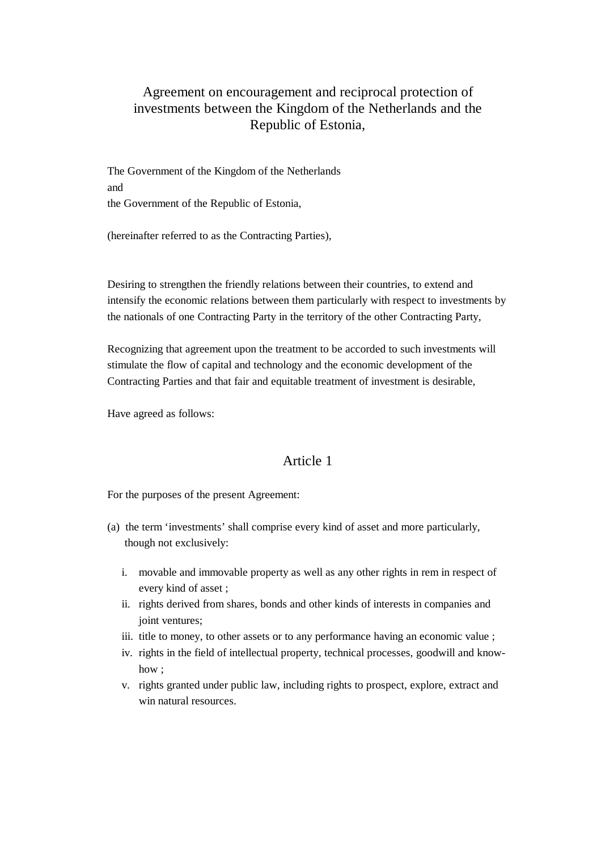# Agreement on encouragement and reciprocal protection of investments between the Kingdom of the Netherlands and the Republic of Estonia,

The Government of the Kingdom of the Netherlands and the Government of the Republic of Estonia,

(hereinafter referred to as the Contracting Parties),

Desiring to strengthen the friendly relations between their countries, to extend and intensify the economic relations between them particularly with respect to investments by the nationals of one Contracting Party in the territory of the other Contracting Party,

Recognizing that agreement upon the treatment to be accorded to such investments will stimulate the flow of capital and technology and the economic development of the Contracting Parties and that fair and equitable treatment of investment is desirable,

Have agreed as follows:

## Article 1

For the purposes of the present Agreement:

- (a) the term 'investments' shall comprise every kind of asset and more particularly, though not exclusively:
	- i. movable and immovable property as well as any other rights in rem in respect of every kind of asset ;
	- ii. rights derived from shares, bonds and other kinds of interests in companies and joint ventures;
	- iii. title to money, to other assets or to any performance having an economic value ;
	- iv. rights in the field of intellectual property, technical processes, goodwill and knowhow ;
	- v. rights granted under public law, including rights to prospect, explore, extract and win natural resources.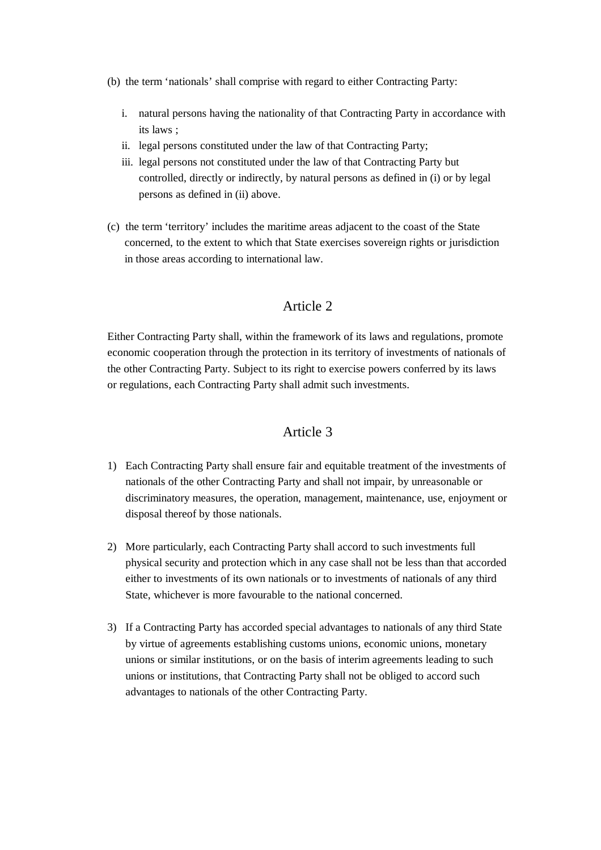- (b) the term 'nationals' shall comprise with regard to either Contracting Party:
	- i. natural persons having the nationality of that Contracting Party in accordance with its laws ;
	- ii. legal persons constituted under the law of that Contracting Party;
	- iii. legal persons not constituted under the law of that Contracting Party but controlled, directly or indirectly, by natural persons as defined in (i) or by legal persons as defined in (ii) above.
- (c) the term 'territory' includes the maritime areas adjacent to the coast of the State concerned, to the extent to which that State exercises sovereign rights or jurisdiction in those areas according to international law.

# Article 2

Either Contracting Party shall, within the framework of its laws and regulations, promote economic cooperation through the protection in its territory of investments of nationals of the other Contracting Party. Subject to its right to exercise powers conferred by its laws or regulations, each Contracting Party shall admit such investments.

### Article 3

- 1) Each Contracting Party shall ensure fair and equitable treatment of the investments of nationals of the other Contracting Party and shall not impair, by unreasonable or discriminatory measures, the operation, management, maintenance, use, enjoyment or disposal thereof by those nationals.
- 2) More particularly, each Contracting Party shall accord to such investments full physical security and protection which in any case shall not be less than that accorded either to investments of its own nationals or to investments of nationals of any third State, whichever is more favourable to the national concerned.
- 3) If a Contracting Party has accorded special advantages to nationals of any third State by virtue of agreements establishing customs unions, economic unions, monetary unions or similar institutions, or on the basis of interim agreements leading to such unions or institutions, that Contracting Party shall not be obliged to accord such advantages to nationals of the other Contracting Party.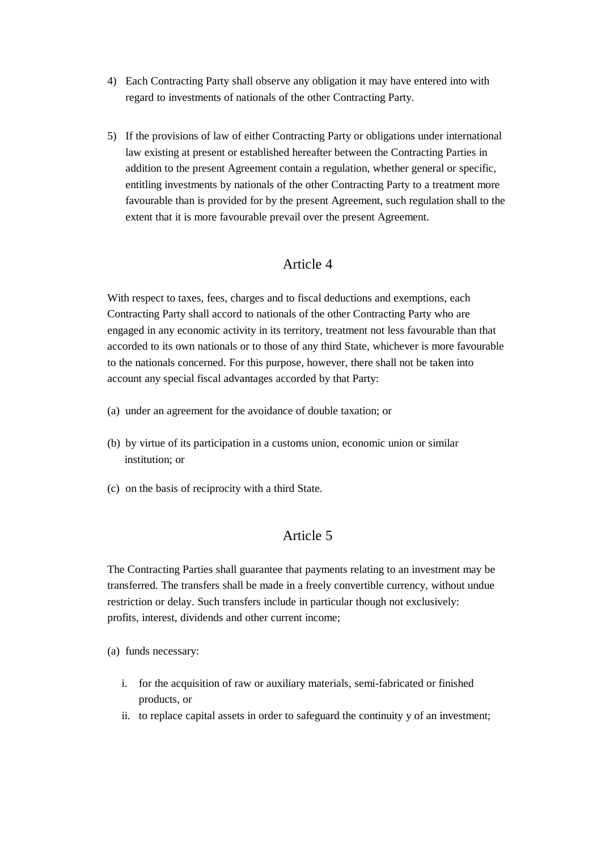- 4) Each Contracting Party shall observe any obligation it may have entered into with regard to investments of nationals of the other Contracting Party.
- 5) If the provisions of law of either Contracting Party or obligations under international law existing at present or established hereafter between the Contracting Parties in addition to the present Agreement contain a regulation, whether general or specific, entitling investments by nationals of the other Contracting Party to a treatment more favourable than is provided for by the present Agreement, such regulation shall to the extent that it is more favourable prevail over the present Agreement.

### Article 4

With respect to taxes, fees, charges and to fiscal deductions and exemptions, each Contracting Party shall accord to nationals of the other Contracting Party who are engaged in any economic activity in its territory, treatment not less favourable than that accorded to its own nationals or to those of any third State, whichever is more favourable to the nationals concerned. For this purpose, however, there shall not be taken into account any special fiscal advantages accorded by that Party:

- (a) under an agreement for the avoidance of double taxation; or
- (b) by virtue of its participation in a customs union, economic union or similar institution; or
- (c) on the basis of reciprocity with a third State.

#### Article 5

The Contracting Parties shall guarantee that payments relating to an investment may be transferred. The transfers shall be made in a freely convertible currency, without undue restriction or delay. Such transfers include in particular though not exclusively: profits, interest, dividends and other current income;

- (a) funds necessary:
	- i. for the acquisition of raw or auxiliary materials, semi-fabricated or finished products, or
	- ii. to replace capital assets in order to safeguard the continuity y of an investment;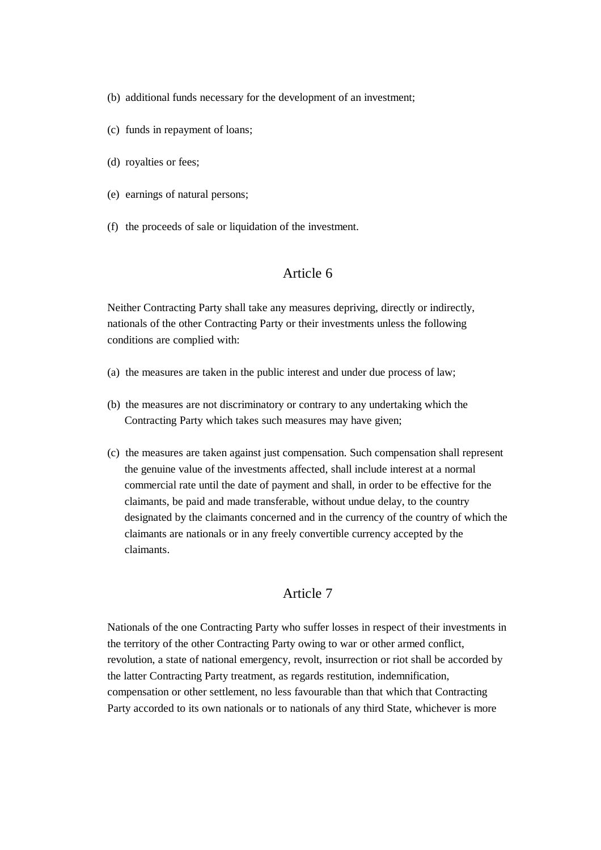- (b) additional funds necessary for the development of an investment;
- (c) funds in repayment of loans;
- (d) royalties or fees;
- (e) earnings of natural persons;
- (f) the proceeds of sale or liquidation of the investment.

# Article 6

Neither Contracting Party shall take any measures depriving, directly or indirectly, nationals of the other Contracting Party or their investments unless the following conditions are complied with:

- (a) the measures are taken in the public interest and under due process of law;
- (b) the measures are not discriminatory or contrary to any undertaking which the Contracting Party which takes such measures may have given;
- (c) the measures are taken against just compensation. Such compensation shall represent the genuine value of the investments affected, shall include interest at a normal commercial rate until the date of payment and shall, in order to be effective for the claimants, be paid and made transferable, without undue delay, to the country designated by the claimants concerned and in the currency of the country of which the claimants are nationals or in any freely convertible currency accepted by the claimants.

#### Article 7

Nationals of the one Contracting Party who suffer losses in respect of their investments in the territory of the other Contracting Party owing to war or other armed conflict, revolution, a state of national emergency, revolt, insurrection or riot shall be accorded by the latter Contracting Party treatment, as regards restitution, indemnification, compensation or other settlement, no less favourable than that which that Contracting Party accorded to its own nationals or to nationals of any third State, whichever is more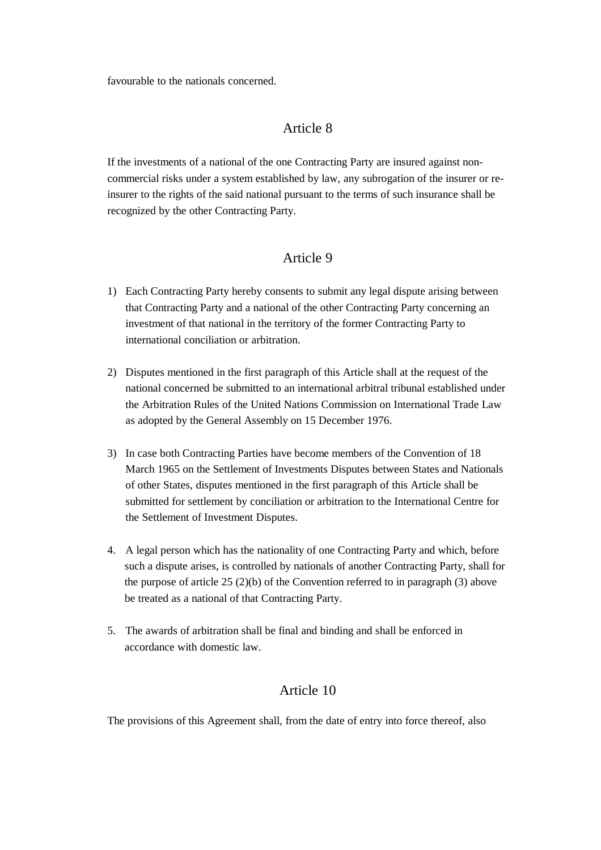favourable to the nationals concerned.

## Article 8

If the investments of a national of the one Contracting Party are insured against noncommercial risks under a system established by law, any subrogation of the insurer or reinsurer to the rights of the said national pursuant to the terms of such insurance shall be recognized by the other Contracting Party.

### Article 9

- 1) Each Contracting Party hereby consents to submit any legal dispute arising between that Contracting Party and a national of the other Contracting Party concerning an investment of that national in the territory of the former Contracting Party to international conciliation or arbitration.
- 2) Disputes mentioned in the first paragraph of this Article shall at the request of the national concerned be submitted to an international arbitral tribunal established under the Arbitration Rules of the United Nations Commission on International Trade Law as adopted by the General Assembly on 15 December 1976.
- 3) In case both Contracting Parties have become members of the Convention of 18 March 1965 on the Settlement of Investments Disputes between States and Nationals of other States, disputes mentioned in the first paragraph of this Article shall be submitted for settlement by conciliation or arbitration to the International Centre for the Settlement of Investment Disputes.
- 4. A legal person which has the nationality of one Contracting Party and which, before such a dispute arises, is controlled by nationals of another Contracting Party, shall for the purpose of article 25 (2)(b) of the Convention referred to in paragraph (3) above be treated as a national of that Contracting Party.
- 5. The awards of arbitration shall be final and binding and shall be enforced in accordance with domestic law.

# Article 10

The provisions of this Agreement shall, from the date of entry into force thereof, also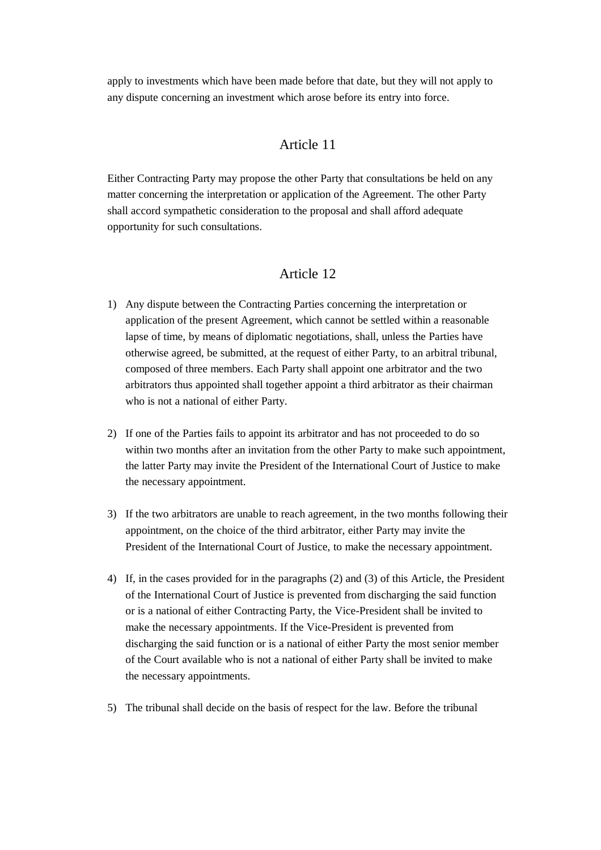apply to investments which have been made before that date, but they will not apply to any dispute concerning an investment which arose before its entry into force.

# Article 11

Either Contracting Party may propose the other Party that consultations be held on any matter concerning the interpretation or application of the Agreement. The other Party shall accord sympathetic consideration to the proposal and shall afford adequate opportunity for such consultations.

# Article 12

- 1) Any dispute between the Contracting Parties concerning the interpretation or application of the present Agreement, which cannot be settled within a reasonable lapse of time, by means of diplomatic negotiations, shall, unless the Parties have otherwise agreed, be submitted, at the request of either Party, to an arbitral tribunal, composed of three members. Each Party shall appoint one arbitrator and the two arbitrators thus appointed shall together appoint a third arbitrator as their chairman who is not a national of either Party.
- 2) If one of the Parties fails to appoint its arbitrator and has not proceeded to do so within two months after an invitation from the other Party to make such appointment, the latter Party may invite the President of the International Court of Justice to make the necessary appointment.
- 3) If the two arbitrators are unable to reach agreement, in the two months following their appointment, on the choice of the third arbitrator, either Party may invite the President of the International Court of Justice, to make the necessary appointment.
- 4) If, in the cases provided for in the paragraphs (2) and (3) of this Article, the President of the International Court of Justice is prevented from discharging the said function or is a national of either Contracting Party, the Vice-President shall be invited to make the necessary appointments. If the Vice-President is prevented from discharging the said function or is a national of either Party the most senior member of the Court available who is not a national of either Party shall be invited to make the necessary appointments.
- 5) The tribunal shall decide on the basis of respect for the law. Before the tribunal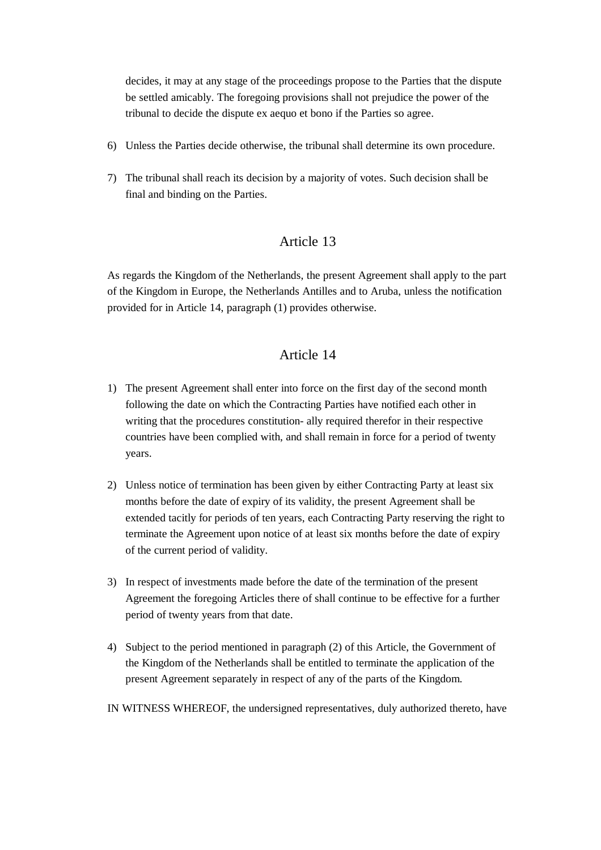decides, it may at any stage of the proceedings propose to the Parties that the dispute be settled amicably. The foregoing provisions shall not prejudice the power of the tribunal to decide the dispute ex aequo et bono if the Parties so agree.

- 6) Unless the Parties decide otherwise, the tribunal shall determine its own procedure.
- 7) The tribunal shall reach its decision by a majority of votes. Such decision shall be final and binding on the Parties.

### Article 13

As regards the Kingdom of the Netherlands, the present Agreement shall apply to the part of the Kingdom in Europe, the Netherlands Antilles and to Aruba, unless the notification provided for in Article 14, paragraph (1) provides otherwise.

### Article 14

- 1) The present Agreement shall enter into force on the first day of the second month following the date on which the Contracting Parties have notified each other in writing that the procedures constitution- ally required therefor in their respective countries have been complied with, and shall remain in force for a period of twenty years.
- 2) Unless notice of termination has been given by either Contracting Party at least six months before the date of expiry of its validity, the present Agreement shall be extended tacitly for periods of ten years, each Contracting Party reserving the right to terminate the Agreement upon notice of at least six months before the date of expiry of the current period of validity.
- 3) In respect of investments made before the date of the termination of the present Agreement the foregoing Articles there of shall continue to be effective for a further period of twenty years from that date.
- 4) Subject to the period mentioned in paragraph (2) of this Article, the Government of the Kingdom of the Netherlands shall be entitled to terminate the application of the present Agreement separately in respect of any of the parts of the Kingdom.
- IN WITNESS WHEREOF, the undersigned representatives, duly authorized thereto, have